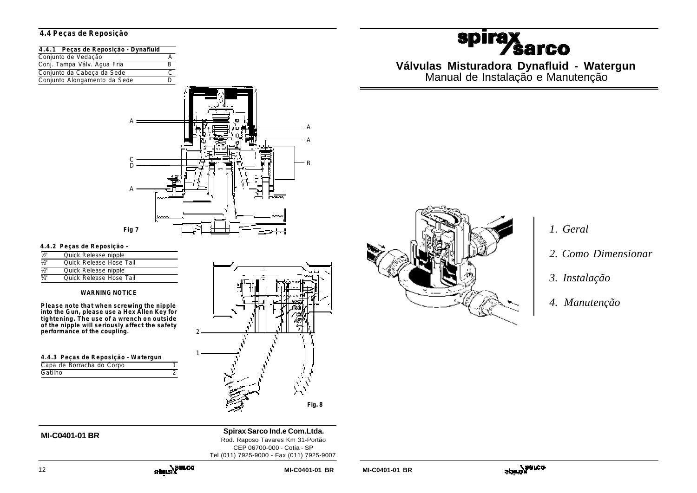# **4.4 Peças de Reposição**

| 4.4.1 Peças de Reposição - Dynafluid |  |
|--------------------------------------|--|
| Conjunto de Vedação                  |  |
| Conj. Tampa Válv. Água Fria          |  |
| Conjunto da Cabeça da Sede           |  |
| Conjunto Alongamento da Sede         |  |



2

1

## **4.4.2 Peças de Reposição -**

| 1/5"             | Quick Release nipple    |
|------------------|-------------------------|
| $\overline{V_2}$ | Ouick Release Hose Tail |
| $\overline{V_2}$ | Quick Release nipple    |
| $\frac{3}{4}$    | Ouick Release Hose Tail |

### **WARNING NOTICE**

**Please note that when screwing the nipple into the Gun, please use a Hex Allen Key for tightening. The use of a wrench on outside of the nipple will seriously affect the safety performance of the coupling.**

| 4.4.3 Peças de Reposição - Watergun |  |  |
|-------------------------------------|--|--|
| Capa de Borracha do Corpo           |  |  |
| Gatilho                             |  |  |
|                                     |  |  |





**MI-C0401-01 BR Spirax Sarco Ind.e Com.Ltda.** Rod. Raposo Tavares Km 31-Portão CEP 06700-000 - Cotia - SP Tel (011) 7925-9000 - Fax (011) 7925-9007

# *1. Geral*

- *2. Como Dimensionar*
- *3. Instalação*
- *4. Manutenção*

# **spira** *<u>⁄sarco</u>*

**Válvulas Misturadora Dynafluid - Watergun** Manual de Instalação e Manutenção

12 **MI-C0401-01 BR MI-C0401-01 BR**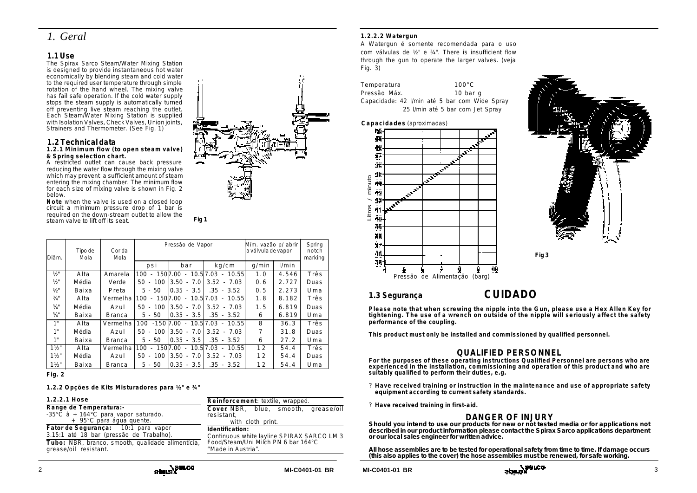# *1. Geral*

# **1.1 Use**

The Spirax Sarco Steam/Water Mixing Station is designed to provide instantaneous hot water economically by blending steam and cold water to the required user temperature through simple rotation of the hand wheel. The mixing valve has fail safe operation. If the cold water supply stops the steam supply is automatically turned off preventing live steam reaching the outlet. Each Steam/Water Mixing Station is supplied with Isolation Valves, Check Valves, Union joints, Strainers and Thermometer. (See Fig. 1)

## **1.2 Technical data**

#### **1.2.1 Minimum flow (to open steam valve) & Spring selection chart.**

A restricted outlet can cause back pressure reducing the water flow through the mixing valve which may prevent a sufficient amount of steam entering the mixing chamber. The minimum flow for each size of mixing valve is shown in Fig. 2 below.

**Note** when the valve is used on a closed loop circuit a minimum pressure drop of 1 bar is required on the down-stream outlet to allow the steam valve to lift off its seat.

**Fig 1**

| Diâm.            | Tipo de<br>Cor da<br>Mola<br>Mola |          | Pressão de Vapor    |                        | Mím. vazão p/ abrir<br>a válvula de vapor |       | Spring<br>notch<br>marking |      |
|------------------|-----------------------------------|----------|---------------------|------------------------|-------------------------------------------|-------|----------------------------|------|
|                  |                                   |          | psi                 | bar                    | kg/cm                                     | q/min | 1/min                      |      |
| $\frac{1}{2}$    | Alta                              | Amarela  | 100<br>$\sim$       | $150$ $\sqrt{7}$ .00 - | $10.5$ 7.03<br>$-10.55$                   | 1.0   | 4.546                      | Três |
| $1/2$ "          | Média                             | Verde    | 100<br>50<br>$\sim$ | 3.50<br>$-7.0$         | $3.52 - 7.03$                             | 0.6   | 2.727                      | Duas |
| 1/2"             | Baixa                             | Preta    | $5 -$<br>50         | 10.35 - 3.5            | $.35 - 3.52$                              | 0.5   | 2.273                      | Uma  |
| 3/4"             | Alta                              | Vermelha | 100<br>$\sim$       | $1507.00 -$            | 10.517.03<br>10.55<br>$\sim$              | 1.8   | 8.182                      | Três |
| 3/4"             | Média                             | Azul     | $50 - 100$          | 13.50<br>$-7.0$        | $3.52 - 7.03$                             | 1.5   | 6.819                      | Duas |
| 3/4"             | Baixa                             | Branca   | $5 -$<br>50         | 10.35 - 3.5            | $.35 - 3.52$                              | 6     | 6.819                      | Uma  |
| 1"               | Alta                              | Vermelha | 100                 | $-150$ 7.00 $-$        | 10.517.03<br>10.55<br>$\sim$              | 8     | 36.3                       | Três |
| 1"               | Média                             | Azul     | $50 - 100$          | 3.50<br>$-7.0$         | $3.52 - 7.03$                             | 7     | 31.8                       | Duas |
| 1"               | Baixa                             | Branca   | $5 - 50$            | $0.35 - 3.5$           | $.35 - 3.52$                              | 6     | 27.2                       | Uma  |
| $1\frac{1}{2}$   | Alta                              | Vermelha | 100<br>×.           | 1507.00 -              | 10.517.03<br>10.55<br>$\sim$              | 12    | 54.4                       | Três |
| $1\frac{1}{2}$   | Média                             | Azul     | 50<br>100<br>$\sim$ | 7.0<br>3.50<br>$\sim$  | $3.52 - 7.03$                             | 12    | 54.4                       | Duas |
| $1\frac{1}{2}$ " | Baixa                             | Branca   | $5 - 50$            | 10.35 - 3.5            | $.35 - 3.52$                              | 12    | 54.4                       | Uma  |

**Fig. 2**

**1.2.2 Opções de Kits Misturadores para ½" e ¾"**

| 1.2.2.1 Hose                                                                                       | Reinforcement: textile, wrapped.                                                                                           |  |  |  |
|----------------------------------------------------------------------------------------------------|----------------------------------------------------------------------------------------------------------------------------|--|--|--|
| Range de Temperatura:-<br>-35°C $\dot{a}$ + 164°C para vapor saturado.<br>+ 95°C para água quente. | Cover NBR, blue, smooth, grease/oil<br>resistant,<br>with cloth print.                                                     |  |  |  |
| Fator de Segurança: 10:1 para vapor<br>3.15:1 até 18 bar (pressão de Trabalho).                    | Identification:<br>Continuous white layline SPIRAX SARCO LM 3<br>Food/Steam/Uni Milch PN 6 bar 164°C<br>"Made in Austria". |  |  |  |
| Tubo: NBR, branco, smooth, qualidade alimentícia,<br>grease/oil resistant.                         |                                                                                                                            |  |  |  |

## com válvulas de ½" e ¾". There is insufficient flow through the gun to operate the larger valves. (veja Fig. 3)

**1.2.2.2 Watergun**

Temperatura 100°C Pressão Máx. 10 bar q Capacidade: 42 l/min até 5 bar com Wide Spray 25 l/min até 5 bar com Jet Spray

A Watergun é somente recomendada para o uso







# **1.3 Segurança CUIDADO**

**Please note that when screwing the nipple into the Gun, please use a Hex Allen Key for tightening. The use of a wrench on outside of the nipple will seriously affect the safety performance of the coupling.**

**This product must only be installed and commissioned by qualified personnel.**

# **QUALIFIED PERSONNEL**

**For the purposes of these operating instructions Qualified Personnel are persons who are experienced in the installation, commissioning and operation of this product and who are suitably qualified to perform their duties, e.g.**

- **? Have received training or instruction in the maintenance and use of appropriate safety equipment according to current safety standards.**
- **? Have received training in first-aid.**

# **DANGER OF INJURY**

**Should you intend to use our products for new or not tested media or for applications not described in our product information please contact the Spirax Sarco applications department or our local sales engineer for written advice.**

**All hose assemblies are to be tested for operational safety from time to time. If damage occurs (this also applies to the cover) the hose assemblies must be renewed, for safe working.**



**MI-C0401-01 BR MI-C0401-01 BR**

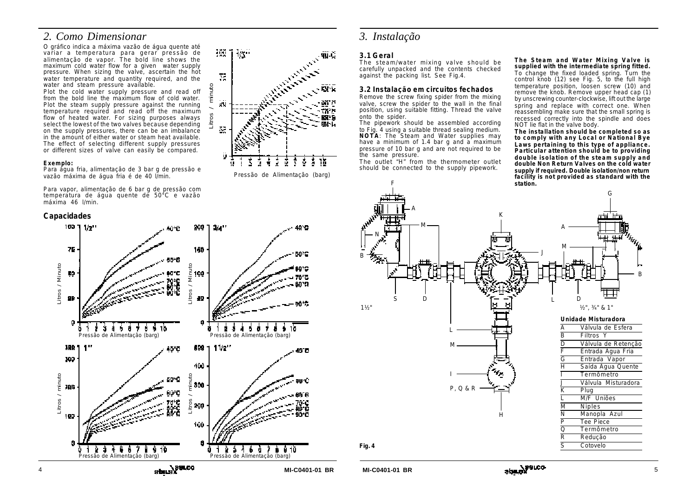# *2. Como Dimensionar*

O gráfico indica a máxima vazão de água quente até variar a temperatura para gerar pressão de alimentação de vapor. The bold line shows the maximum cold water flow for a given water supply pressure. When sizing the valve, ascertain the hot water temperature and quantity required, and the water and steam pressure available.

Plot the cold water supply pressure and read off from the bold line the maximum flow of cold water. Plot the steam supply pressure against the running temperature required and read off the maximum flow of heated water. For sizing purposes always select the lowest of the two valves because depending on the supply pressures, there can be an imbalance in the amount of either water or steam heat available. The effect of selecting different supply pressures or different sizes of valve can easily be compared.

#### **Exemplo:**

Para água fria, alimentação de 3 bar g de pressão e vazão máxima de água fria é de 40 l/min.

Para vapor, alimentação de 6 bar g de pressão com temperatura de água quente de 50°C e vazão máxima 46 l/min.

# **Capacidades**



Pressão de Alimentação (barg)

# *3. Instalação*

# **3.1 Geral**

The steam/water mixing valve should be carefully unpacked and the contents checked against the packing list. See Fig.4.

## **3.2 Instalação em circuitos fechados**

Remove the screw fixing spider from the mixing valve, screw the spider to the wall in the final position, using suitable fitting. Thread the valve onto the spider.

The pipework should be assembled according to Fig. 4 using a suitable thread sealing medium. **NOTA**: The Steam and Water supplies may have a minimum of 1.4 bar q and  $a'$  maximum pressure of 10 bar g and are not required to be the same pressure.

The outlet "H" from the thermometer outlet should be connected to the supply pipework.

**The Steam and Water Mixing Valve is supplied with the intermediate spring fitted.** To change the fixed loaded spring. Turn the control knob (12) see Fig. 5, to the full high temperature position, loosen screw (10) and remove the knob. Remove upper head cap (1) by unscrewing counter-clockwise, lift out the large spring and replace with correct one. When reassembling make sure that the small spring is recessed correctly into the spindle and does NOT lie flat in the valve body.

**The installation should be completed so as to comply with any Local or National Bye Laws pertaining to this type of appliance. Particular attention should be to providing double isolation of the steam supply and double Non Return Valves on the cold water supply if required. Double isolation/non return facility is not provided as standard with the station.**





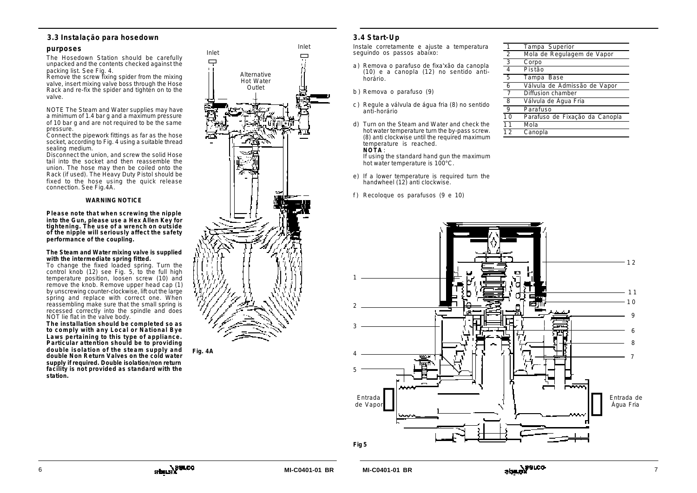# **3.3 Instalação para hosedown**

## **purposes**

The Hosedown Station should be carefully unpacked and the contents checked against the packing list. See Fig. 4.

Remove the screw fixing spider from the mixing valve, insert mixing valve boss through the Hose Rack and re-fix the spider and tighten on to the valve.

NOTE The Steam and Water supplies may have a minimum of 1.4 bar g and a maximum pressure of 10 bar g and are not required to be the same pressure.

Connect the pipework fittings as far as the hose socket, according to Fig. 4 using a suitable thread sealing medium.

Disconnect the union, and screw the solid Hose tail into the socket and then reassemble the union. The hose may then be coiled onto the Rack (if used). The Heavy Duty Pistol should be fixed to the hose using the quick release connection. See Fig.4A.

### **WARNING NOTICE**

**Please note that when screwing the nipple into the Gun, please use a Hex Allen Key for tightening. The use of a wrench on outside of the nipple will seriously affect the safety performance of the coupling.**

#### **The Steam and Water mixing valve is supplied with the intermediate spring fitted.**

To change the fixed loaded spring. Turn the control knob (12) see Fig. 5, to the full high temperature position, loosen screw (10) and remove the knob. Remove upper head cap (1) by unscrewing counter-clockwise, lift out the large spring and replace with correct one. When reassembling make sure that the small spring is recessed correctly into the spindle and does NOT lie flat in the valve body.

**The installation should be completed so as to comply with any Local or National Bye Laws pertaining to this type of appliance. Particular attention should be to providing double isolation of the steam supply and double Non Return Valves on the cold water supply if required. Double isolation/non return facility is not provided as standard with the station.**



**Fig. 4A**



Instale corretamente e ajuste a temperatura seguindo os passos abaixo:

- a) Remova o parafuso de fixa'xão da canopla (10) e a canopla (12) no sentido antihorário.
- b ) Remova o parafuso (9)
- c ) Regule a válvula de água fria (8) no sentido anti-horário
- d) Turn on the Steam and Water and check the hot water temperature turn the by-pass screw. (8) anti clockwise until the required maximum temperature is reached. **NOTA** :

If using the standard hand gun the maximum hot water temperature is 100°C.

- e) If a lower temperature is required turn the handwheel (12) anti clockwise.
- f ) Recoloque os parafusos (9 e 10)

| 1               | Tampa Superior                 |
|-----------------|--------------------------------|
| $\overline{2}$  | Mola de Regulagem de Vapor     |
| $\overline{3}$  | Corpo                          |
| 4               | Pistão                         |
| $\overline{5}$  | Tampa Base                     |
| $\overline{6}$  | Válvula de Admissão de Vapor   |
| 7               | Diffusion chamber              |
| 8               | Válvula de Água Fria           |
| $\overline{Q}$  | Parafuso                       |
| $\overline{1}0$ | Parafuso de Fixação da Canopla |
| 11              | Mola                           |
| 12              | Canopla                        |



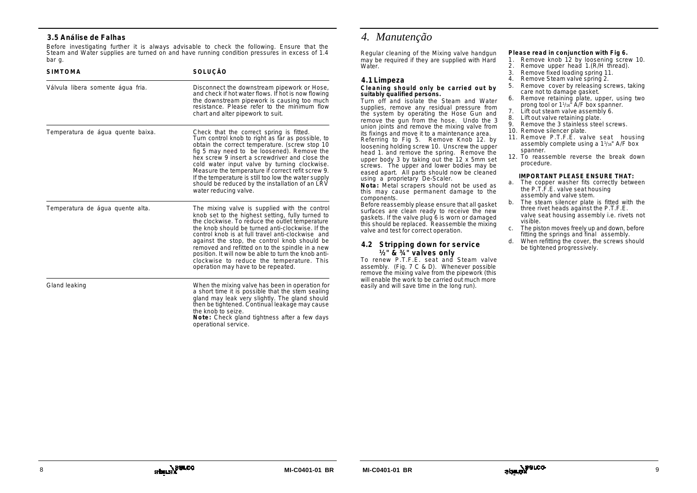# **3.5 Análise de Falhas**

Before investigating further it is always advisable to check the following. Ensure that the Steam and Water supplies are turned on and have running condition pressures in excess of 1.4 bar g.

| <b>SIMTOMA</b>                    | SOLUÇÃO                                                                                                                                                                                                                                                                                                                                                                                                                                                                                                     |
|-----------------------------------|-------------------------------------------------------------------------------------------------------------------------------------------------------------------------------------------------------------------------------------------------------------------------------------------------------------------------------------------------------------------------------------------------------------------------------------------------------------------------------------------------------------|
| Válvula libera somente água fria. | Disconnect the downstream pipework or Hose,<br>and check if hot water flows. If hot is now flowing<br>the downstream pipework is causing too much<br>resistance. Please refer to the minimum flow<br>chart and alter pipework to suit.                                                                                                                                                                                                                                                                      |
| Temperatura de água quente baixa. | Check that the correct spring is fitted.<br>Turn control knob to right as far as possible, to<br>obtain the correct temperature. (screw stop 10<br>fig 5 may need to be loosened). Remove the<br>hex screw 9 insert a screwdriver and close the<br>cold water input valve by turning clockwise.<br>Measure the temperature if correct refit screw 9.<br>If the temperature is still too low the water supply<br>should be reduced by the installation of an LRV<br>water reducing valve.                    |
| Temperatura de água quente alta.  | The mixing valve is supplied with the control<br>knob set to the highest setting, fully turned to<br>the clockwise. To reduce the outlet temperature<br>the knob should be turned anti-clockwise. If the<br>control knob is at full travel anti-clockwise and<br>against the stop, the control knob should be<br>removed and refitted on to the spindle in a new<br>position. It will now be able to turn the knob anti-<br>clockwise to reduce the temperature. This<br>operation may have to be repeated. |
| Gland leaking                     | When the mixing valve has been in operation for<br>a short time it is possible that the stem sealing<br>gland may leak very slightly. The gland should<br>then be tightened. Continual leakage may cause<br>the knob to seize.                                                                                                                                                                                                                                                                              |

**Note:** Check gland tightness after a few days operational service.

# *4. Manutenção*

Regular cleaning of the Mixing valve handgun may be required if they are supplied with Hard Water.

## **4.1 Limpeza**

#### **Cleaning should only be carried out by suitably qualified persons.**

Turn off and isolate the Steam and Water supplies, remove any residual pressure from the system by operating the Hose Gun and remove the gun from the hose. Undo the 3 union joints and remove the mixing valve from its fixings and move it to a maintenance area. Referring to Fig 5. Remove Knob 12. by loosening holding screw 10. Unscrew the upper head 1. and remove the spring. Remove the upper body 3 by taking out the 12 x 5mm set screws. The upper and lower bodies may be eased apart. All parts should now be cleaned using a proprietary De-Scaler.

**Nota:** Metal scrapers should not be used as this may cause permanent damage to the components.

Before reassembly please ensure that all gasket surfaces are clean ready to receive the new gaskets. If the valve plug 6 is worn or damaged this should be replaced. Reassemble the mixing valve and test for correct operation.

## **4.2 Stripping down for service ½" & ¾" valves only**

To renew P.T.F.E. seat and Steam valve assembly. (Fig. 7 C & D). Whenever possible remove the mixing valve from the pipework (this will enable the work to be carried out much more easily and will save time in the long run).

#### **Please read in conjunction with Fig 6.**

- 1. Remove knob 12 by loosening screw 10.
- 2. Remove upper head 1.(R/H thread).
- 3. Remove fixed loading spring 11. 4. Remove Steam valve spring 2.
- 5. Remove cover by releasing screws, taking care not to damage gasket.
- 6. Remove retaining plate, upper, using two prong tool or 1<sup>1</sup> /16" A/F box spanner.
- 7. Lift out steam valve assembly 6.
- 8. Lift out valve retaining plate.
- 9. Remove the 3 stainless steel screws.
- 10. Remove silencer plate.
- 11. Remove P.T.F.E. valve seat housing assembly complete using a 1<sup>1</sup> /16" A/F box spanner.
- 12. To reassemble reverse the break down procedure.

### **IMPORTANT PLEASE ENSURE THAT:**

- a. The copper washer fits correctly between the P.T.F.E. valve seat housing assembly and valve stem.
- b. The steam silencer plate is fitted with the three rivet heads against the P.T.F.E. valve seat housing assembly i.e. rivets not visible.
- c. The piston moves freely up and down, before fitting the springs and final assembly.
- d. When refitting the cover, the screws should be tightened progressively.